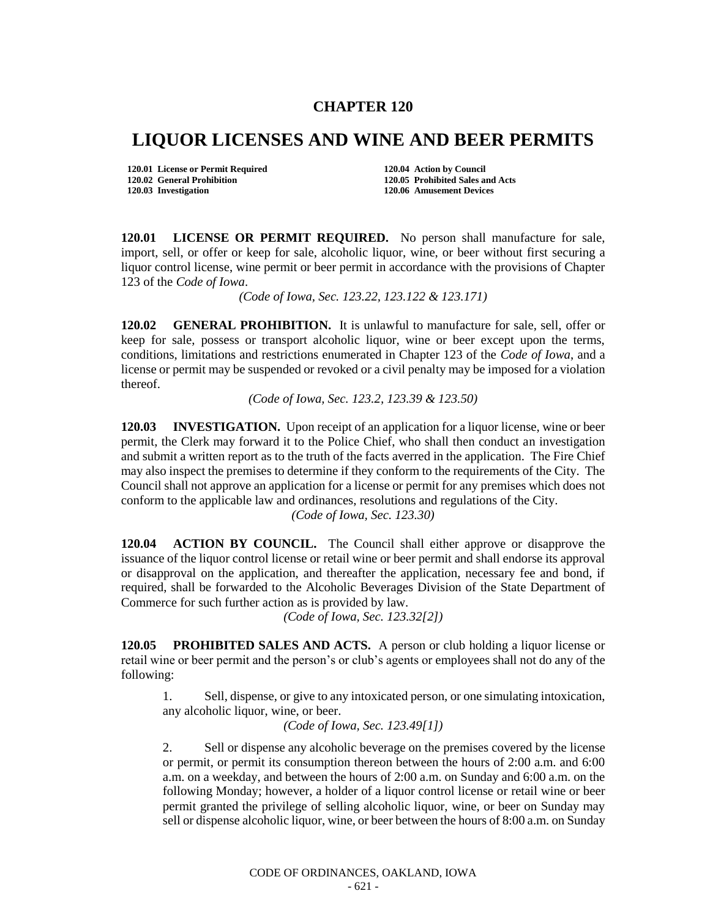## **CHAPTER 120**

## **LIQUOR LICENSES AND WINE AND BEER PERMITS**

**120.01 License or Permit Required 120.04 Action by Council 120.02 General Prohibition 120.05 Prohibited Sales and Acts**

**120.03 Investigation 120.06 Amusement Devices**

**120.01 LICENSE OR PERMIT REQUIRED.** No person shall manufacture for sale, import, sell, or offer or keep for sale, alcoholic liquor, wine, or beer without first securing a liquor control license, wine permit or beer permit in accordance with the provisions of Chapter 123 of the *Code of Iowa*.

*(Code of Iowa, Sec. 123.22, 123.122 & 123.171)*

**120.02 GENERAL PROHIBITION.** It is unlawful to manufacture for sale, sell, offer or keep for sale, possess or transport alcoholic liquor, wine or beer except upon the terms, conditions, limitations and restrictions enumerated in Chapter 123 of the *Code of Iowa*, and a license or permit may be suspended or revoked or a civil penalty may be imposed for a violation thereof.

*(Code of Iowa, Sec. 123.2, 123.39 & 123.50)*

**120.03 INVESTIGATION.** Upon receipt of an application for a liquor license, wine or beer permit, the Clerk may forward it to the Police Chief, who shall then conduct an investigation and submit a written report as to the truth of the facts averred in the application. The Fire Chief may also inspect the premises to determine if they conform to the requirements of the City. The Council shall not approve an application for a license or permit for any premises which does not conform to the applicable law and ordinances, resolutions and regulations of the City.

*(Code of Iowa, Sec. 123.30)*

**120.04 ACTION BY COUNCIL.** The Council shall either approve or disapprove the issuance of the liquor control license or retail wine or beer permit and shall endorse its approval or disapproval on the application, and thereafter the application, necessary fee and bond, if required, shall be forwarded to the Alcoholic Beverages Division of the State Department of Commerce for such further action as is provided by law.

*(Code of Iowa, Sec. 123.32[2])*

**120.05 PROHIBITED SALES AND ACTS.** A person or club holding a liquor license or retail wine or beer permit and the person's or club's agents or employees shall not do any of the following:

1. Sell, dispense, or give to any intoxicated person, or one simulating intoxication, any alcoholic liquor, wine, or beer.

*(Code of Iowa, Sec. 123.49[1])*

2. Sell or dispense any alcoholic beverage on the premises covered by the license or permit, or permit its consumption thereon between the hours of 2:00 a.m. and 6:00 a.m. on a weekday, and between the hours of 2:00 a.m. on Sunday and 6:00 a.m. on the following Monday; however, a holder of a liquor control license or retail wine or beer permit granted the privilege of selling alcoholic liquor, wine, or beer on Sunday may sell or dispense alcoholic liquor, wine, or beer between the hours of 8:00 a.m. on Sunday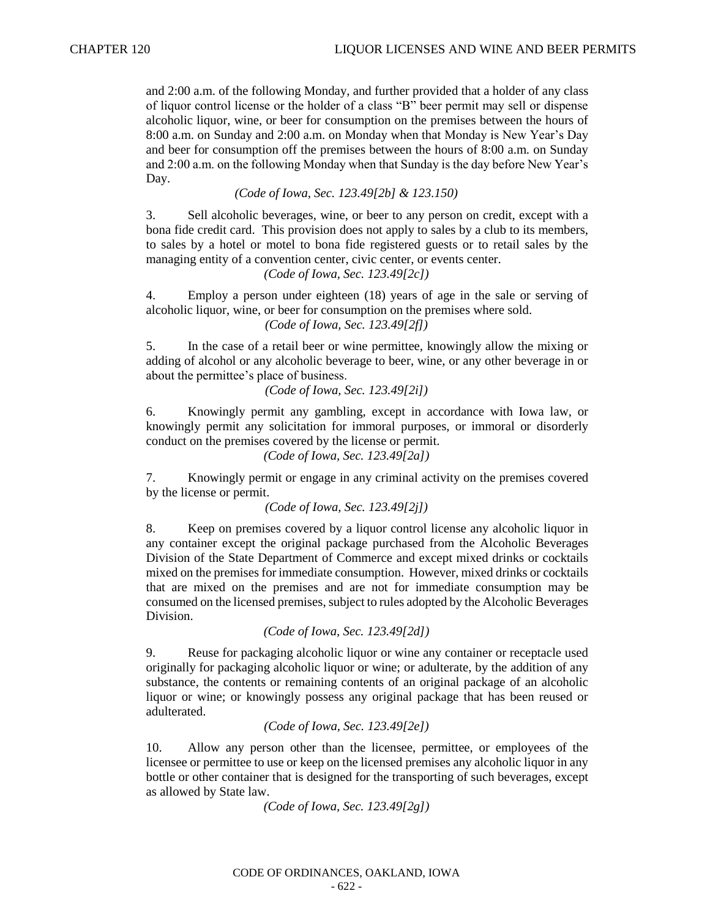and 2:00 a.m. of the following Monday, and further provided that a holder of any class of liquor control license or the holder of a class "B" beer permit may sell or dispense alcoholic liquor, wine, or beer for consumption on the premises between the hours of 8:00 a.m. on Sunday and 2:00 a.m. on Monday when that Monday is New Year's Day and beer for consumption off the premises between the hours of 8:00 a.m. on Sunday and 2:00 a.m. on the following Monday when that Sunday is the day before New Year's Day.

*(Code of Iowa, Sec. 123.49[2b] & 123.150)*

3. Sell alcoholic beverages, wine, or beer to any person on credit, except with a bona fide credit card. This provision does not apply to sales by a club to its members, to sales by a hotel or motel to bona fide registered guests or to retail sales by the managing entity of a convention center, civic center, or events center.

*(Code of Iowa, Sec. 123.49[2c])*

4. Employ a person under eighteen (18) years of age in the sale or serving of alcoholic liquor, wine, or beer for consumption on the premises where sold. *(Code of Iowa, Sec. 123.49[2f])*

5. In the case of a retail beer or wine permittee, knowingly allow the mixing or adding of alcohol or any alcoholic beverage to beer, wine, or any other beverage in or about the permittee's place of business.

*(Code of Iowa, Sec. 123.49[2i])*

6. Knowingly permit any gambling, except in accordance with Iowa law, or knowingly permit any solicitation for immoral purposes, or immoral or disorderly conduct on the premises covered by the license or permit.

*(Code of Iowa, Sec. 123.49[2a])*

7. Knowingly permit or engage in any criminal activity on the premises covered by the license or permit.

*(Code of Iowa, Sec. 123.49[2j])*

8. Keep on premises covered by a liquor control license any alcoholic liquor in any container except the original package purchased from the Alcoholic Beverages Division of the State Department of Commerce and except mixed drinks or cocktails mixed on the premises for immediate consumption. However, mixed drinks or cocktails that are mixed on the premises and are not for immediate consumption may be consumed on the licensed premises, subject to rules adopted by the Alcoholic Beverages Division.

*(Code of Iowa, Sec. 123.49[2d])*

9. Reuse for packaging alcoholic liquor or wine any container or receptacle used originally for packaging alcoholic liquor or wine; or adulterate, by the addition of any substance, the contents or remaining contents of an original package of an alcoholic liquor or wine; or knowingly possess any original package that has been reused or adulterated.

*(Code of Iowa, Sec. 123.49[2e])*

10. Allow any person other than the licensee, permittee, or employees of the licensee or permittee to use or keep on the licensed premises any alcoholic liquor in any bottle or other container that is designed for the transporting of such beverages, except as allowed by State law.

*(Code of Iowa, Sec. 123.49[2g])*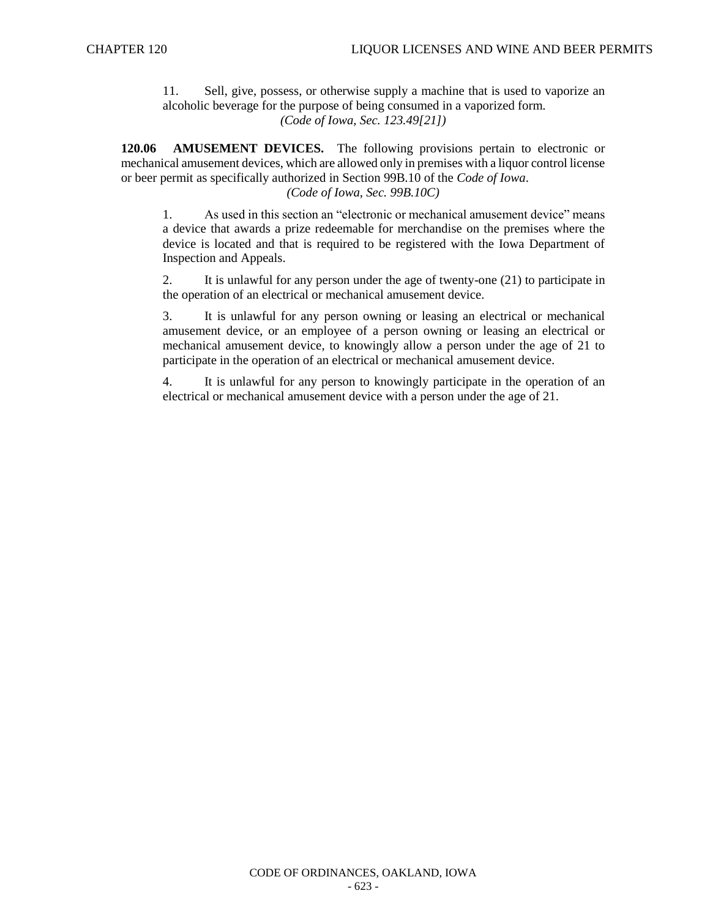11. Sell, give, possess, or otherwise supply a machine that is used to vaporize an alcoholic beverage for the purpose of being consumed in a vaporized form. *(Code of Iowa, Sec. 123.49[21])*

**120.06 AMUSEMENT DEVICES.** The following provisions pertain to electronic or mechanical amusement devices, which are allowed only in premises with a liquor control license or beer permit as specifically authorized in Section 99B.10 of the *Code of Iowa*. *(Code of Iowa, Sec. 99B.10C)*

1. As used in this section an "electronic or mechanical amusement device" means a device that awards a prize redeemable for merchandise on the premises where the device is located and that is required to be registered with the Iowa Department of Inspection and Appeals.

2. It is unlawful for any person under the age of twenty-one (21) to participate in the operation of an electrical or mechanical amusement device.

3. It is unlawful for any person owning or leasing an electrical or mechanical amusement device, or an employee of a person owning or leasing an electrical or mechanical amusement device, to knowingly allow a person under the age of 21 to participate in the operation of an electrical or mechanical amusement device.

4. It is unlawful for any person to knowingly participate in the operation of an electrical or mechanical amusement device with a person under the age of 21.